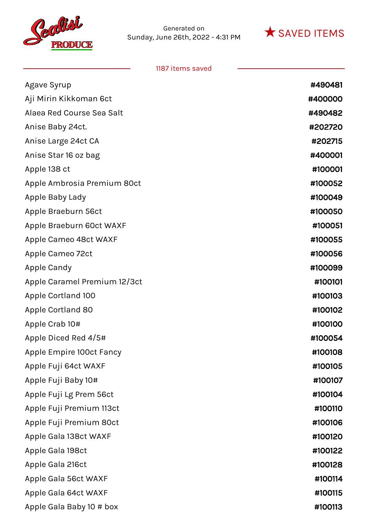



| Agave Syrup                  | #490481 |
|------------------------------|---------|
| Aji Mirin Kikkoman 6ct       | #400000 |
| Alaea Red Course Sea Salt    | #490482 |
| Anise Baby 24ct.             | #202720 |
| Anise Large 24ct CA          | #202715 |
| Anise Star 16 oz bag         | #400001 |
| Apple 138 ct                 | #100001 |
| Apple Ambrosia Premium 80ct  | #100052 |
| Apple Baby Lady              | #100049 |
| Apple Braeburn 56ct          | #100050 |
| Apple Braeburn 60ct WAXF     | #100051 |
| Apple Cameo 48ct WAXF        | #100055 |
| Apple Cameo 72ct             | #100056 |
| Apple Candy                  | #100099 |
| Apple Caramel Premium 12/3ct | #100101 |
| Apple Cortland 100           | #100103 |
| Apple Cortland 80            | #100102 |
| Apple Crab 10#               | #100100 |
| Apple Diced Red 4/5#         | #100054 |
| Apple Empire 100ct Fancy     | #100108 |
| Apple Fuji 64ct WAXF         | #100105 |
| Apple Fuji Baby 10#          | #100107 |
| Apple Fuji Lg Prem 56ct      | #100104 |
| Apple Fuji Premium 113ct     | #100110 |
| Apple Fuji Premium 80ct      | #100106 |
| Apple Gala 138ct WAXF        | #100120 |
| Apple Gala 198ct             | #100122 |
| Apple Gala 216ct             | #100128 |
| Apple Gala 56ct WAXF         | #100114 |
| Apple Gala 64ct WAXF         | #100115 |
| Apple Gala Baby 10 # box     | #100113 |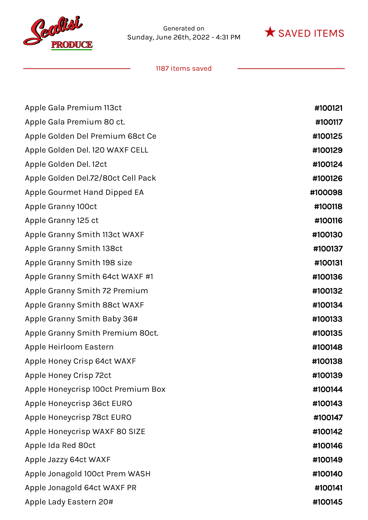



| Apple Gala Premium 113ct           | #100121 |
|------------------------------------|---------|
| Apple Gala Premium 80 ct.          | #100117 |
| Apple Golden Del Premium 68ct Ce   | #100125 |
| Apple Golden Del. 120 WAXF CELL    | #100129 |
| Apple Golden Del. 12ct             | #100124 |
| Apple Golden Del.72/80ct Cell Pack | #100126 |
| Apple Gourmet Hand Dipped EA       | #100098 |
| Apple Granny 100ct                 | #100118 |
| Apple Granny 125 ct                | #100116 |
| Apple Granny Smith 113ct WAXF      | #100130 |
| Apple Granny Smith 138ct           | #100137 |
| Apple Granny Smith 198 size        | #100131 |
| Apple Granny Smith 64ct WAXF #1    | #100136 |
| Apple Granny Smith 72 Premium      | #100132 |
| Apple Granny Smith 88ct WAXF       | #100134 |
| Apple Granny Smith Baby 36#        | #100133 |
| Apple Granny Smith Premium 80ct.   | #100135 |
| Apple Heirloom Eastern             | #100148 |
| Apple Honey Crisp 64ct WAXF        | #100138 |
| Apple Honey Crisp 72ct             | #100139 |
| Apple Honeycrisp 100ct Premium Box | #100144 |
| Apple Honeycrisp 36ct EURO         | #100143 |
| Apple Honeycrisp 78ct EURO         | #100147 |
| Apple Honeycrisp WAXF 80 SIZE      | #100142 |
| Apple Ida Red 80ct                 | #100146 |
| Apple Jazzy 64ct WAXF              | #100149 |
| Apple Jonagold 100ct Prem WASH     | #100140 |
| Apple Jonagold 64ct WAXF PR        | #100141 |
| Apple Lady Eastern 20#             | #100145 |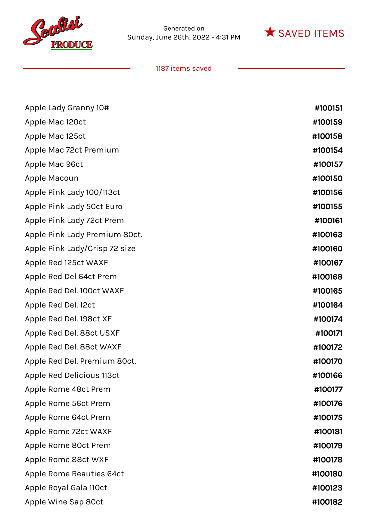



| Apple Lady Granny 10#         | #100151 |
|-------------------------------|---------|
| Apple Mac 120ct               | #100159 |
| Apple Mac 125ct               | #100158 |
| Apple Mac 72ct Premium        | #100154 |
| Apple Mac 96ct                | #100157 |
| Apple Macoun                  | #100150 |
| Apple Pink Lady 100/113ct     | #100156 |
| Apple Pink Lady 50ct Euro     | #100155 |
| Apple Pink Lady 72ct Prem     | #100161 |
| Apple Pink Lady Premium 80ct. | #100163 |
| Apple Pink Lady/Crisp 72 size | #100160 |
| Apple Red 125ct WAXF          | #100167 |
| Apple Red Del 64ct Prem       | #100168 |
| Apple Red Del. 100ct WAXF     | #100165 |
| Apple Red Del. 12ct           | #100164 |
| Apple Red Del. 198ct XF       | #100174 |
| Apple Red Del. 88ct USXF      | #100171 |
| Apple Red Del. 88ct WAXF      | #100172 |
| Apple Red Del. Premium 80ct.  | #100170 |
| Apple Red Delicious 113ct     | #100166 |
| Apple Rome 48ct Prem          | #100177 |
| Apple Rome 56ct Prem          | #100176 |
| Apple Rome 64ct Prem          | #100175 |
| Apple Rome 72ct WAXF          | #100181 |
| Apple Rome 80ct Prem          | #100179 |
| Apple Rome 88ct WXF           | #100178 |
| Apple Rome Beauties 64ct      | #100180 |
| Apple Royal Gala 110ct        | #100123 |
| Apple Wine Sap 80ct           | #100182 |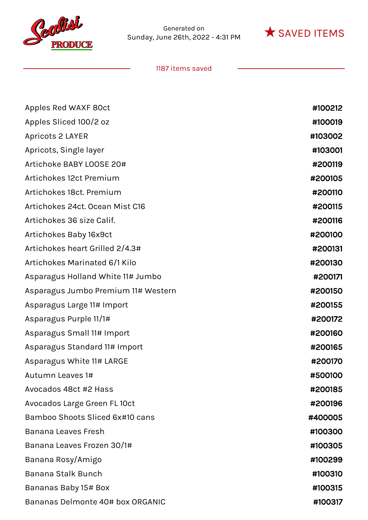



| Apples Red WAXF 80ct                | #100212 |
|-------------------------------------|---------|
| Apples Sliced 100/2 oz              | #100019 |
| Apricots 2 LAYER                    | #103002 |
| Apricots, Single layer              | #103001 |
| Artichoke BABY LOOSE 20#            | #200119 |
| Artichokes 12ct Premium             | #200105 |
| Artichokes 18ct. Premium            | #200110 |
| Artichokes 24ct. Ocean Mist C16     | #200115 |
| Artichokes 36 size Calif.           | #200116 |
| Artichokes Baby 16x9ct              | #200100 |
| Artichokes heart Grilled 2/4.3#     | #200131 |
| Artichokes Marinated 6/1 Kilo       | #200130 |
| Asparagus Holland White 11# Jumbo   | #200171 |
| Asparagus Jumbo Premium 11# Western | #200150 |
| Asparagus Large 11# Import          | #200155 |
| Asparagus Purple 11/1#              | #200172 |
| Asparagus Small 11# Import          | #200160 |
| Asparagus Standard 11# Import       | #200165 |
| Asparagus White 11# LARGE           | #200170 |
| Autumn Leaves 1#                    | #500100 |
| Avocados 48ct #2 Hass               | #200185 |
| Avocados Large Green FL 10ct        | #200196 |
| Bamboo Shoots Sliced 6x#10 cans     | #400005 |
| <b>Banana Leaves Fresh</b>          | #100300 |
| Banana Leaves Frozen 30/1#          | #100305 |
| Banana Rosy/Amigo                   | #100299 |
| <b>Banana Stalk Bunch</b>           | #100310 |
| Bananas Baby 15# Box                | #100315 |
| Bananas Delmonte 40# box ORGANIC    | #100317 |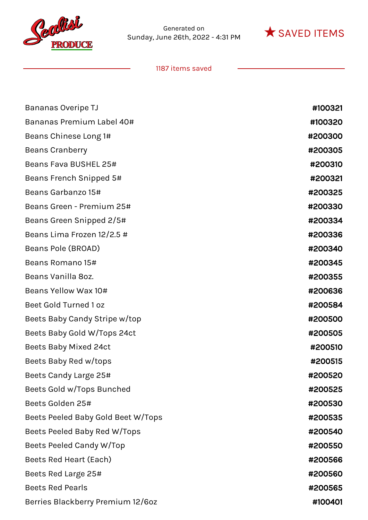



| Bananas Overipe TJ                 | #100321 |
|------------------------------------|---------|
| Bananas Premium Label 40#          | #100320 |
| Beans Chinese Long 1#              | #200300 |
| <b>Beans Cranberry</b>             | #200305 |
| Beans Fava BUSHEL 25#              | #200310 |
| Beans French Snipped 5#            | #200321 |
| Beans Garbanzo 15#                 | #200325 |
| Beans Green - Premium 25#          | #200330 |
| Beans Green Snipped 2/5#           | #200334 |
| Beans Lima Frozen 12/2.5 #         | #200336 |
| Beans Pole (BROAD)                 | #200340 |
| Beans Romano 15#                   | #200345 |
| Beans Vanilla 8oz.                 | #200355 |
| Beans Yellow Wax 10#               | #200636 |
| Beet Gold Turned 1 oz              | #200584 |
| Beets Baby Candy Stripe w/top      | #200500 |
| Beets Baby Gold W/Tops 24ct        | #200505 |
| <b>Beets Baby Mixed 24ct</b>       | #200510 |
| Beets Baby Red w/tops              | #200515 |
| Beets Candy Large 25#              | #200520 |
| Beets Gold w/Tops Bunched          | #200525 |
| Beets Golden 25#                   | #200530 |
| Beets Peeled Baby Gold Beet W/Tops | #200535 |
| Beets Peeled Baby Red W/Tops       | #200540 |
| Beets Peeled Candy W/Top           | #200550 |
| Beets Red Heart (Each)             | #200566 |
| Beets Red Large 25#                | #200560 |
| <b>Beets Red Pearls</b>            | #200565 |
| Berries Blackberry Premium 12/60z  | #100401 |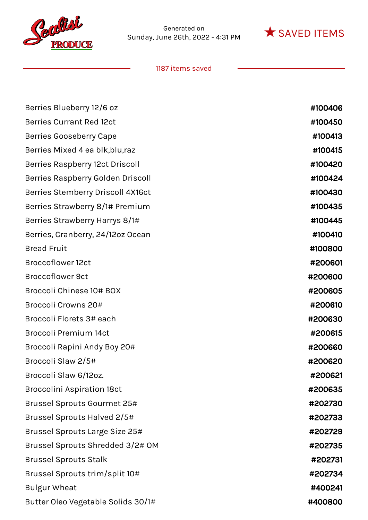



| Berries Blueberry 12/6 oz              | #100406 |
|----------------------------------------|---------|
| <b>Berries Currant Red 12ct</b>        | #100450 |
| <b>Berries Gooseberry Cape</b>         | #100413 |
| Berries Mixed 4 ea blk, blu, raz       | #100415 |
| <b>Berries Raspberry 12ct Driscoll</b> | #100420 |
| Berries Raspberry Golden Driscoll      | #100424 |
| Berries Stemberry Driscoll 4X16ct      | #100430 |
| Berries Strawberry 8/1# Premium        | #100435 |
| Berries Strawberry Harrys 8/1#         | #100445 |
| Berries, Cranberry, 24/12oz Ocean      | #100410 |
| <b>Bread Fruit</b>                     | #100800 |
| <b>Broccoflower 12ct</b>               | #200601 |
| <b>Broccoflower 9ct</b>                | #200600 |
| Broccoli Chinese 10# BOX               | #200605 |
| Broccoli Crowns 20#                    | #200610 |
| Broccoli Florets 3# each               | #200630 |
| Broccoli Premium 14ct                  | #200615 |
| Broccoli Rapini Andy Boy 20#           | #200660 |
| Broccoli Slaw 2/5#                     | #200620 |
| Broccoli Slaw 6/12oz.                  | #200621 |
| <b>Broccolini Aspiration 18ct</b>      | #200635 |
| Brussel Sprouts Gourmet 25#            | #202730 |
| Brussel Sprouts Halved 2/5#            | #202733 |
| Brussel Sprouts Large Size 25#         | #202729 |
| Brussel Sprouts Shredded 3/2# OM       | #202735 |
| <b>Brussel Sprouts Stalk</b>           | #202731 |
| Brussel Sprouts trim/split 10#         | #202734 |
| <b>Bulgur Wheat</b>                    | #400241 |
| Butter Oleo Vegetable Solids 30/1#     | #400800 |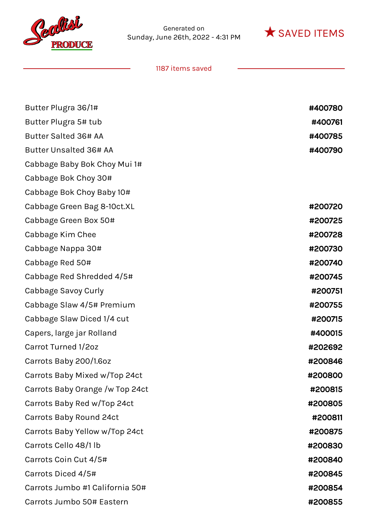



| Butter Plugra 36/1#             | #400780 |
|---------------------------------|---------|
| Butter Plugra 5# tub            | #400761 |
| <b>Butter Salted 36# AA</b>     | #400785 |
| <b>Butter Unsalted 36# AA</b>   | #400790 |
| Cabbage Baby Bok Choy Mui 1#    |         |
| Cabbage Bok Choy 30#            |         |
| Cabbage Bok Choy Baby 10#       |         |
| Cabbage Green Bag 8-10ct.XL     | #200720 |
| Cabbage Green Box 50#           | #200725 |
| Cabbage Kim Chee                | #200728 |
| Cabbage Nappa 30#               | #200730 |
| Cabbage Red 50#                 | #200740 |
| Cabbage Red Shredded 4/5#       | #200745 |
| Cabbage Savoy Curly             | #200751 |
| Cabbage Slaw 4/5# Premium       | #200755 |
| Cabbage Slaw Diced 1/4 cut      | #200715 |
| Capers, large jar Rolland       | #400015 |
| Carrot Turned 1/2oz             | #202692 |
| Carrots Baby 200/1.6oz          | #200846 |
| Carrots Baby Mixed w/Top 24ct   | #200800 |
| Carrots Baby Orange /w Top 24ct | #200815 |
| Carrots Baby Red w/Top 24ct     | #200805 |
| Carrots Baby Round 24ct         | #200811 |
| Carrots Baby Yellow w/Top 24ct  | #200875 |
| Carrots Cello 48/1 lb           | #200830 |
| Carrots Coin Cut 4/5#           | #200840 |
| Carrots Diced 4/5#              | #200845 |
| Carrots Jumbo #1 California 50# | #200854 |
| Carrots Jumbo 50# Eastern       | #200855 |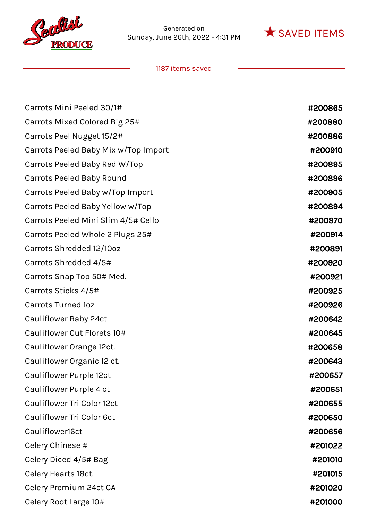



| Carrots Mini Peeled 30/1#            | #200865 |
|--------------------------------------|---------|
| Carrots Mixed Colored Big 25#        | #200880 |
| Carrots Peel Nugget 15/2#            | #200886 |
| Carrots Peeled Baby Mix w/Top Import | #200910 |
| Carrots Peeled Baby Red W/Top        | #200895 |
| <b>Carrots Peeled Baby Round</b>     | #200896 |
| Carrots Peeled Baby w/Top Import     | #200905 |
| Carrots Peeled Baby Yellow w/Top     | #200894 |
| Carrots Peeled Mini Slim 4/5# Cello  | #200870 |
| Carrots Peeled Whole 2 Plugs 25#     | #200914 |
| Carrots Shredded 12/10oz             | #200891 |
| Carrots Shredded 4/5#                | #200920 |
| Carrots Snap Top 50# Med.            | #200921 |
| Carrots Sticks 4/5#                  | #200925 |
| <b>Carrots Turned 1oz</b>            | #200926 |
| Cauliflower Baby 24ct                | #200642 |
| Cauliflower Cut Florets 10#          | #200645 |
| Cauliflower Orange 12ct.             | #200658 |
| Cauliflower Organic 12 ct.           | #200643 |
| Cauliflower Purple 12ct              | #200657 |
| Cauliflower Purple 4 ct              | #200651 |
| Cauliflower Tri Color 12ct           | #200655 |
| Cauliflower Tri Color 6ct            | #200650 |
| Cauliflower16ct                      | #200656 |
| Celery Chinese #                     | #201022 |
| Celery Diced 4/5# Bag                | #201010 |
| Celery Hearts 18ct.                  | #201015 |
| Celery Premium 24ct CA               | #201020 |
| Celery Root Large 10#                | #201000 |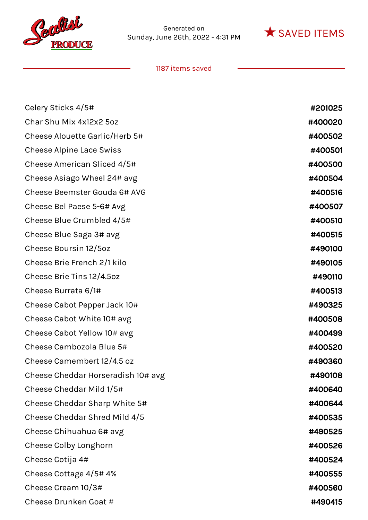



| Celery Sticks 4/5#                 | #201025 |
|------------------------------------|---------|
| Char Shu Mix 4x12x2 5oz            | #400020 |
| Cheese Alouette Garlic/Herb 5#     | #400502 |
| <b>Cheese Alpine Lace Swiss</b>    | #400501 |
| Cheese American Sliced 4/5#        | #400500 |
| Cheese Asiago Wheel 24# avg        | #400504 |
| Cheese Beemster Gouda 6# AVG       | #400516 |
| Cheese Bel Paese 5-6# Avg          | #400507 |
| Cheese Blue Crumbled 4/5#          | #400510 |
| Cheese Blue Saga 3# avg            | #400515 |
| Cheese Boursin 12/5oz              | #490100 |
| Cheese Brie French 2/1 kilo        | #490105 |
| Cheese Brie Tins 12/4.5oz          | #490110 |
| Cheese Burrata 6/1#                | #400513 |
| Cheese Cabot Pepper Jack 10#       | #490325 |
| Cheese Cabot White 10# avg         | #400508 |
| Cheese Cabot Yellow 10# avg        | #400499 |
| Cheese Cambozola Blue 5#           | #400520 |
| Cheese Camembert 12/4.5 oz         | #490360 |
| Cheese Cheddar Horseradish 10# avg | #490108 |
| Cheese Cheddar Mild 1/5#           | #400640 |
| Cheese Cheddar Sharp White 5#      | #400644 |
| Cheese Cheddar Shred Mild 4/5      | #400535 |
| Cheese Chihuahua 6# avg            | #490525 |
| Cheese Colby Longhorn              | #400526 |
| Cheese Cotija 4#                   | #400524 |
| Cheese Cottage 4/5#4%              | #400555 |
| Cheese Cream 10/3#                 | #400560 |
| Cheese Drunken Goat #              | #490415 |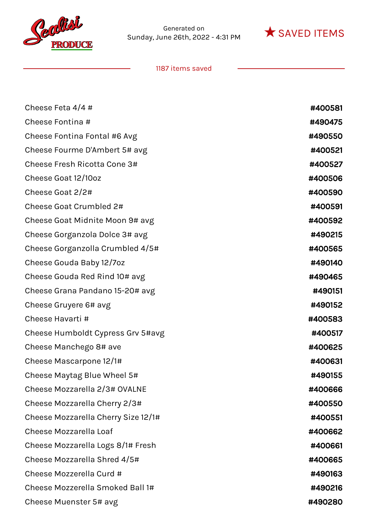



| Cheese Feta $4/4$ #                 | #400581 |
|-------------------------------------|---------|
| Cheese Fontina #                    | #490475 |
| Cheese Fontina Fontal #6 Avg        | #490550 |
| Cheese Fourme D'Ambert 5# avg       | #400521 |
| Cheese Fresh Ricotta Cone 3#        | #400527 |
| Cheese Goat 12/10oz                 | #400506 |
| Cheese Goat 2/2#                    | #400590 |
| Cheese Goat Crumbled 2#             | #400591 |
| Cheese Goat Midnite Moon 9# avg     | #400592 |
| Cheese Gorganzola Dolce 3# avg      | #490215 |
| Cheese Gorganzolla Crumbled 4/5#    | #400565 |
| Cheese Gouda Baby 12/7oz            | #490140 |
| Cheese Gouda Red Rind 10# avg       | #490465 |
| Cheese Grana Pandano 15-20# avg     | #490151 |
| Cheese Gruyere 6# avg               | #490152 |
| Cheese Havarti #                    | #400583 |
| Cheese Humboldt Cypress Grv 5#avg   | #400517 |
| Cheese Manchego 8# ave              | #400625 |
| Cheese Mascarpone 12/1#             | #400631 |
| Cheese Maytag Blue Wheel 5#         | #490155 |
| Cheese Mozzarella 2/3# OVALNE       | #400666 |
| Cheese Mozzarella Cherry 2/3#       | #400550 |
| Cheese Mozzarella Cherry Size 12/1# | #400551 |
| <b>Cheese Mozzarella Loaf</b>       | #400662 |
| Cheese Mozzarella Logs 8/1# Fresh   | #400661 |
| Cheese Mozzarella Shred 4/5#        | #400665 |
| Cheese Mozzerella Curd #            | #490163 |
| Cheese Mozzerella Smoked Ball 1#    | #490216 |
| Cheese Muenster 5# avg              | #490280 |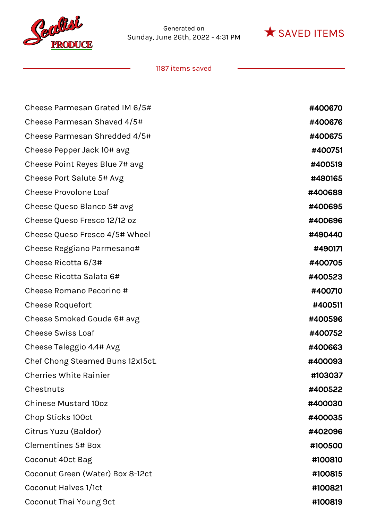



| Cheese Parmesan Grated IM 6/5#   | #400670 |
|----------------------------------|---------|
| Cheese Parmesan Shaved 4/5#      | #400676 |
| Cheese Parmesan Shredded 4/5#    | #400675 |
| Cheese Pepper Jack 10# avg       | #400751 |
| Cheese Point Reyes Blue 7# avg   | #400519 |
| Cheese Port Salute 5# Avg        | #490165 |
| <b>Cheese Provolone Loaf</b>     | #400689 |
| Cheese Queso Blanco 5# avg       | #400695 |
| Cheese Queso Fresco 12/12 oz     | #400696 |
| Cheese Queso Fresco 4/5# Wheel   | #490440 |
| Cheese Reggiano Parmesano#       | #490171 |
| Cheese Ricotta 6/3#              | #400705 |
| Cheese Ricotta Salata 6#         | #400523 |
| Cheese Romano Pecorino #         | #400710 |
| <b>Cheese Roquefort</b>          | #400511 |
| Cheese Smoked Gouda 6# avg       | #400596 |
| <b>Cheese Swiss Loaf</b>         | #400752 |
| Cheese Taleggio 4.4# Avg         | #400663 |
| Chef Chong Steamed Buns 12x15ct. | #400093 |
| <b>Cherries White Rainier</b>    | #103037 |
| Chestnuts                        | #400522 |
| <b>Chinese Mustard 10oz</b>      | #400030 |
| Chop Sticks 100ct                | #400035 |
| Citrus Yuzu (Baldor)             | #402096 |
| <b>Clementines 5# Box</b>        | #100500 |
| Coconut 40ct Bag                 | #100810 |
| Coconut Green (Water) Box 8-12ct | #100815 |
| <b>Coconut Halves 1/1ct</b>      | #100821 |
| Coconut Thai Young 9ct           | #100819 |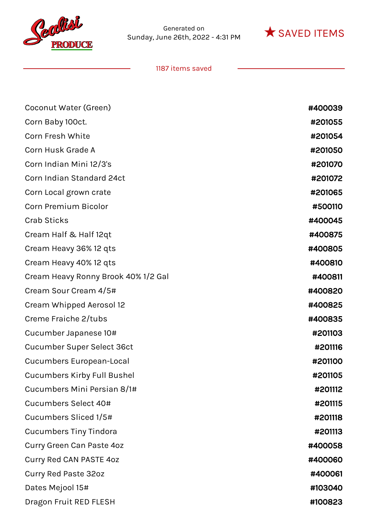



| Coconut Water (Green)               | #400039 |
|-------------------------------------|---------|
| Corn Baby 100ct.                    | #201055 |
| Corn Fresh White                    | #201054 |
| Corn Husk Grade A                   | #201050 |
| Corn Indian Mini 12/3's             | #201070 |
| Corn Indian Standard 24ct           | #201072 |
| Corn Local grown crate              | #201065 |
| <b>Corn Premium Bicolor</b>         | #500110 |
| <b>Crab Sticks</b>                  | #400045 |
| Cream Half & Half 12qt              | #400875 |
| Cream Heavy 36% 12 qts              | #400805 |
| Cream Heavy 40% 12 qts              | #400810 |
| Cream Heavy Ronny Brook 40% 1/2 Gal | #400811 |
| Cream Sour Cream 4/5#               | #400820 |
| Cream Whipped Aerosol 12            | #400825 |
| Creme Fraiche 2/tubs                | #400835 |
| Cucumber Japanese 10#               | #201103 |
| Cucumber Super Select 36ct          | #201116 |
| <b>Cucumbers European-Local</b>     | #201100 |
| <b>Cucumbers Kirby Full Bushel</b>  | #201105 |
| Cucumbers Mini Persian 8/1#         | #201112 |
| Cucumbers Select 40#                | #201115 |
| Cucumbers Sliced 1/5#               | #201118 |
| <b>Cucumbers Tiny Tindora</b>       | #201113 |
| Curry Green Can Paste 4oz           | #400058 |
| Curry Red CAN PASTE 40Z             | #400060 |
| <b>Curry Red Paste 32oz</b>         | #400061 |
| Dates Mejool 15#                    | #103040 |
| Dragon Fruit RED FLESH              | #100823 |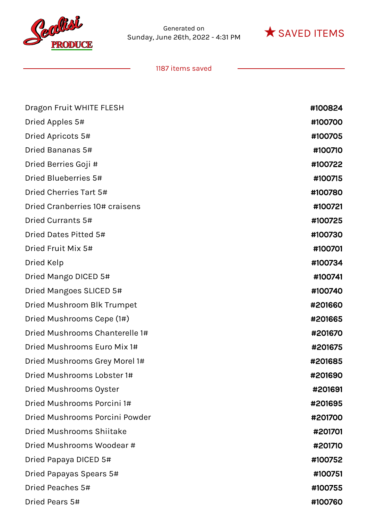



| Dragon Fruit WHITE FLESH        | #100824 |
|---------------------------------|---------|
| Dried Apples 5#                 | #100700 |
| Dried Apricots 5#               | #100705 |
| Dried Bananas 5#                | #100710 |
| Dried Berries Goji #            | #100722 |
| Dried Blueberries 5#            | #100715 |
| Dried Cherries Tart 5#          | #100780 |
| Dried Cranberries 10# craisens  | #100721 |
| Dried Currants 5#               | #100725 |
| Dried Dates Pitted 5#           | #100730 |
| Dried Fruit Mix 5#              | #100701 |
| Dried Kelp                      | #100734 |
| Dried Mango DICED 5#            | #100741 |
| Dried Mangoes SLICED 5#         | #100740 |
| Dried Mushroom Blk Trumpet      | #201660 |
| Dried Mushrooms Cepe (1#)       | #201665 |
| Dried Mushrooms Chanterelle 1#  | #201670 |
| Dried Mushrooms Euro Mix 1#     | #201675 |
| Dried Mushrooms Grey Morel 1#   | #201685 |
| Dried Mushrooms Lobster 1#      | #201690 |
| Dried Mushrooms Oyster          | #201691 |
| Dried Mushrooms Porcini 1#      | #201695 |
| Dried Mushrooms Porcini Powder  | #201700 |
| <b>Dried Mushrooms Shiitake</b> | #201701 |
| Dried Mushrooms Woodear #       | #201710 |
| Dried Papaya DICED 5#           | #100752 |
| Dried Papayas Spears 5#         | #100751 |
| Dried Peaches 5#                | #100755 |
| Dried Pears 5#                  | #100760 |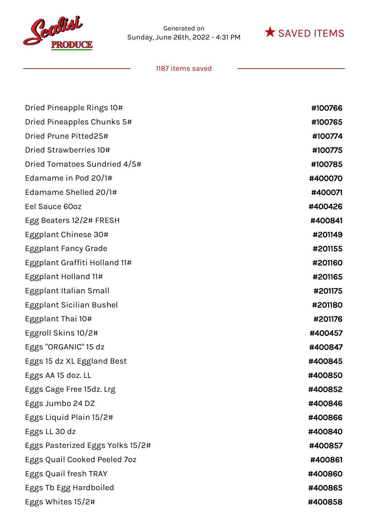



| Dried Pineapple Rings 10#        | #100766 |
|----------------------------------|---------|
| Dried Pineapples Chunks 5#       | #100765 |
| Dried Prune Pitted25#            | #100774 |
| Dried Strawberries 10#           | #100775 |
| Dried Tomatoes Sundried 4/5#     | #100785 |
| Edamame in Pod 20/1#             | #400070 |
| Edamame Shelled 20/1#            | #400071 |
| Eel Sauce 60oz                   | #400426 |
| Egg Beaters 12/2# FRESH          | #400841 |
| Eggplant Chinese 30#             | #201149 |
| Eggplant Fancy Grade             | #201155 |
| Eggplant Graffiti Holland 11#    | #201160 |
| Eggplant Holland 11#             | #201165 |
| Eggplant Italian Small           | #201175 |
| Eggplant Sicilian Bushel         | #201180 |
| Eggplant Thai 10#                | #201176 |
| Eggroll Skins 10/2#              | #400457 |
| Eggs "ORGANIC" 15 dz             | #400847 |
| Eggs 15 dz XL Eggland Best       | #400845 |
| Eggs AA 15 doz. LL               | #400850 |
| Eggs Cage Free 15dz. Lrg         | #400852 |
| Eggs Jumbo 24 DZ                 | #400846 |
| Eggs Liquid Plain 15/2#          | #400866 |
| Eggs LL 30 dz                    | #400840 |
| Eggs Pasterized Eggs Yolks 15/2# | #400857 |
| Eggs Quail Cooked Peeled 7oz     | #400861 |
| Eggs Quail fresh TRAY            | #400860 |
| Eggs Tb Egg Hardboiled           | #400865 |
| Eggs Whites 15/2#                | #400858 |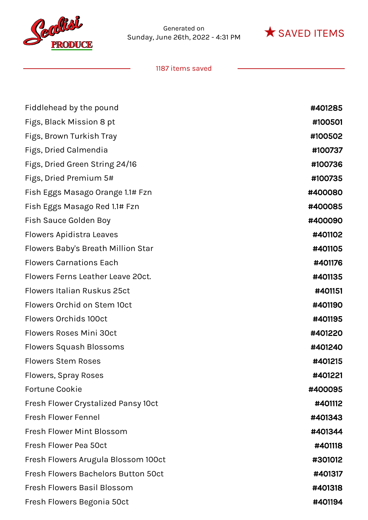



| Fiddlehead by the pound                    | #401285 |
|--------------------------------------------|---------|
| Figs, Black Mission 8 pt                   | #100501 |
| Figs, Brown Turkish Tray                   | #100502 |
| Figs, Dried Calmendia                      | #100737 |
| Figs, Dried Green String 24/16             | #100736 |
| Figs, Dried Premium 5#                     | #100735 |
| Fish Eggs Masago Orange 1.1# Fzn           | #400080 |
| Fish Eggs Masago Red 1.1# Fzn              | #400085 |
| Fish Sauce Golden Boy                      | #400090 |
| Flowers Apidistra Leaves                   | #401102 |
| Flowers Baby's Breath Million Star         | #401105 |
| <b>Flowers Carnations Each</b>             | #401176 |
| Flowers Ferns Leather Leave 20ct.          | #401135 |
| <b>Flowers Italian Ruskus 25ct</b>         | #401151 |
| Flowers Orchid on Stem 10ct                | #401190 |
| <b>Flowers Orchids 100ct</b>               | #401195 |
| <b>Flowers Roses Mini 30ct</b>             | #401220 |
| <b>Flowers Squash Blossoms</b>             | #401240 |
| <b>Flowers Stem Roses</b>                  | #401215 |
| Flowers, Spray Roses                       | #401221 |
| <b>Fortune Cookie</b>                      | #400095 |
| Fresh Flower Crystalized Pansy 10ct        | #401112 |
| <b>Fresh Flower Fennel</b>                 | #401343 |
| Fresh Flower Mint Blossom                  | #401344 |
| Fresh Flower Pea 50ct                      | #401118 |
| Fresh Flowers Arugula Blossom 100ct        | #301012 |
| <b>Fresh Flowers Bachelors Button 50ct</b> | #401317 |
| <b>Fresh Flowers Basil Blossom</b>         | #401318 |
| Fresh Flowers Begonia 50ct                 | #401194 |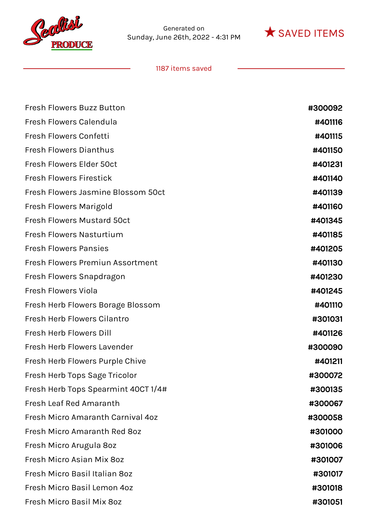



| <b>Fresh Flowers Buzz Button</b>    | #300092 |
|-------------------------------------|---------|
| Fresh Flowers Calendula             | #401116 |
| Fresh Flowers Confetti              | #401115 |
| <b>Fresh Flowers Dianthus</b>       | #401150 |
| Fresh Flowers Elder 50ct            | #401231 |
| <b>Fresh Flowers Firestick</b>      | #401140 |
| Fresh Flowers Jasmine Blossom 50ct  | #401139 |
| Fresh Flowers Marigold              | #401160 |
| <b>Fresh Flowers Mustard 50ct</b>   | #401345 |
| <b>Fresh Flowers Nasturtium</b>     | #401185 |
| <b>Fresh Flowers Pansies</b>        | #401205 |
| Fresh Flowers Premiun Assortment    | #401130 |
| Fresh Flowers Snapdragon            | #401230 |
| <b>Fresh Flowers Viola</b>          | #401245 |
| Fresh Herb Flowers Borage Blossom   | #401110 |
| Fresh Herb Flowers Cilantro         | #301031 |
| Fresh Herb Flowers Dill             | #401126 |
| <b>Fresh Herb Flowers Lavender</b>  | #300090 |
| Fresh Herb Flowers Purple Chive     | #401211 |
| Fresh Herb Tops Sage Tricolor       | #300072 |
| Fresh Herb Tops Spearmint 40CT 1/4# | #300135 |
| <b>Fresh Leaf Red Amaranth</b>      | #300067 |
| Fresh Micro Amaranth Carnival 40z   | #300058 |
| Fresh Micro Amaranth Red 80z        | #301000 |
| Fresh Micro Arugula 80z             | #301006 |
| Fresh Micro Asian Mix 80z           | #301007 |
| Fresh Micro Basil Italian 80z       | #301017 |
| Fresh Micro Basil Lemon 4oz         | #301018 |
| Fresh Micro Basil Mix 80z           | #301051 |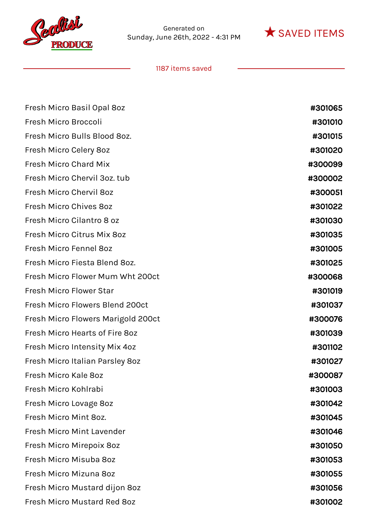



| Fresh Micro Basil Opal 80z         | #301065 |
|------------------------------------|---------|
| Fresh Micro Broccoli               | #301010 |
| Fresh Micro Bulls Blood 8oz.       | #301015 |
| Fresh Micro Celery 80z             | #301020 |
| <b>Fresh Micro Chard Mix</b>       | #300099 |
| Fresh Micro Chervil 3oz. tub       | #300002 |
| Fresh Micro Chervil 80z            | #300051 |
| Fresh Micro Chives 80z             | #301022 |
| Fresh Micro Cilantro 8 oz          | #301030 |
| Fresh Micro Citrus Mix 80z         | #301035 |
| Fresh Micro Fennel 80z             | #301005 |
| Fresh Micro Fiesta Blend 8oz.      | #301025 |
| Fresh Micro Flower Mum Wht 200ct   | #300068 |
| <b>Fresh Micro Flower Star</b>     | #301019 |
| Fresh Micro Flowers Blend 200ct    | #301037 |
| Fresh Micro Flowers Marigold 200ct | #300076 |
| Fresh Micro Hearts of Fire 8oz     | #301039 |
| Fresh Micro Intensity Mix 4oz      | #301102 |
| Fresh Micro Italian Parsley 80z    | #301027 |
| Fresh Micro Kale 8oz               | #300087 |
| Fresh Micro Kohlrabi               | #301003 |
| Fresh Micro Lovage 8oz             | #301042 |
| Fresh Micro Mint 8oz.              | #301045 |
| <b>Fresh Micro Mint Lavender</b>   | #301046 |
| Fresh Micro Mirepoix 80z           | #301050 |
| Fresh Micro Misuba 80z             | #301053 |
| Fresh Micro Mizuna 80z             | #301055 |
| Fresh Micro Mustard dijon 8oz      | #301056 |
| Fresh Micro Mustard Red 8oz        | #301002 |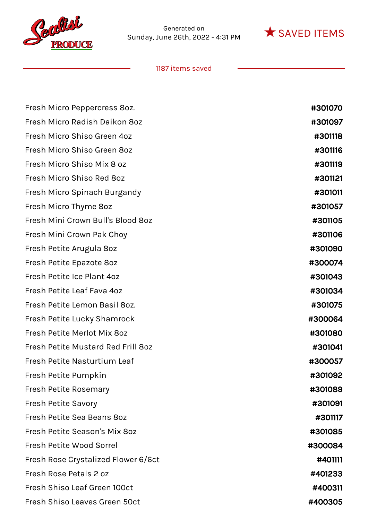



| Fresh Micro Peppercress 80z.        | #301070 |
|-------------------------------------|---------|
| Fresh Micro Radish Daikon 80z       | #301097 |
| Fresh Micro Shiso Green 4oz         | #301118 |
| Fresh Micro Shiso Green 80z         | #301116 |
| Fresh Micro Shiso Mix 8 oz          | #301119 |
| Fresh Micro Shiso Red 8oz           | #301121 |
| Fresh Micro Spinach Burgandy        | #301011 |
| Fresh Micro Thyme 80z               | #301057 |
| Fresh Mini Crown Bull's Blood 8oz   | #301105 |
| Fresh Mini Crown Pak Choy           | #301106 |
| Fresh Petite Arugula 80z            | #301090 |
| Fresh Petite Epazote 8oz            | #300074 |
| Fresh Petite Ice Plant 4oz          | #301043 |
| Fresh Petite Leaf Fava 4oz          | #301034 |
| Fresh Petite Lemon Basil 80z.       | #301075 |
| Fresh Petite Lucky Shamrock         | #300064 |
| Fresh Petite Merlot Mix 80z         | #301080 |
| Fresh Petite Mustard Red Frill 80z  | #301041 |
| Fresh Petite Nasturtium Leaf        | #300057 |
| Fresh Petite Pumpkin                | #301092 |
| Fresh Petite Rosemary               | #301089 |
| <b>Fresh Petite Savory</b>          | #301091 |
| Fresh Petite Sea Beans 80z          | #301117 |
| Fresh Petite Season's Mix 80z       | #301085 |
| Fresh Petite Wood Sorrel            | #300084 |
| Fresh Rose Crystalized Flower 6/6ct | #401111 |
| Fresh Rose Petals 2 oz              | #401233 |
| Fresh Shiso Leaf Green 100ct        | #400311 |
| Fresh Shiso Leaves Green 50ct       | #400305 |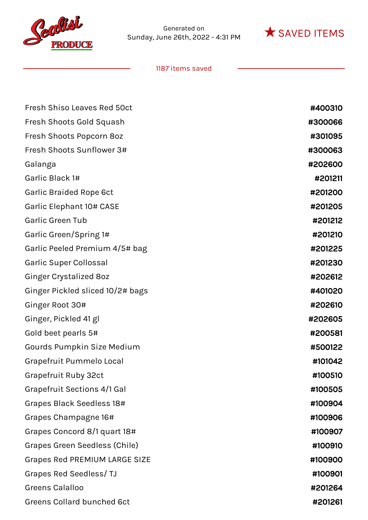



| <b>Fresh Shiso Leaves Red 50ct</b>   | #400310 |
|--------------------------------------|---------|
| Fresh Shoots Gold Squash             | #300066 |
| Fresh Shoots Popcorn 8oz             | #301095 |
| Fresh Shoots Sunflower 3#            | #300063 |
| Galanga                              | #202600 |
| Garlic Black 1#                      | #201211 |
| <b>Garlic Braided Rope 6ct</b>       | #201200 |
| Garlic Elephant 10# CASE             | #201205 |
| <b>Garlic Green Tub</b>              | #201212 |
| Garlic Green/Spring 1#               | #201210 |
| Garlic Peeled Premium 4/5# bag       | #201225 |
| Garlic Super Collossal               | #201230 |
| <b>Ginger Crystalized 80z</b>        | #202612 |
| Ginger Pickled sliced 10/2# bags     | #401020 |
| Ginger Root 30#                      | #202610 |
| Ginger, Pickled 41 gl                | #202605 |
| Gold beet pearls 5#                  | #200581 |
| Gourds Pumpkin Size Medium           | #500122 |
| Grapefruit Pummelo Local             | #101042 |
| Grapefruit Ruby 32ct                 | #100510 |
| <b>Grapefruit Sections 4/1 Gal</b>   | #100505 |
| Grapes Black Seedless 18#            | #100904 |
| Grapes Champagne 16#                 | #100906 |
| Grapes Concord 8/1 quart 18#         | #100907 |
| <b>Grapes Green Seedless (Chile)</b> | #100910 |
| <b>Grapes Red PREMIUM LARGE SIZE</b> | #100900 |
| Grapes Red Seedless/TJ               | #100901 |
| <b>Greens Calalloo</b>               | #201264 |
| <b>Greens Collard bunched 6ct</b>    | #201261 |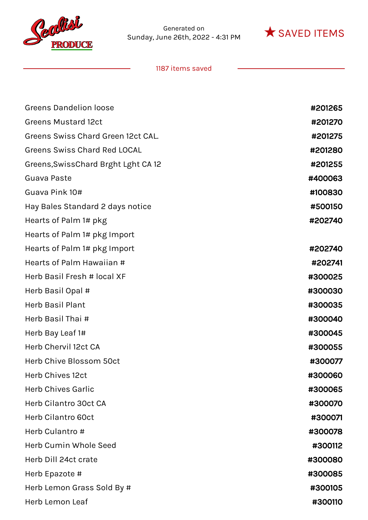



| <b>Greens Dandelion loose</b>        | #201265 |
|--------------------------------------|---------|
| <b>Greens Mustard 12ct</b>           | #201270 |
| Greens Swiss Chard Green 12ct CAL.   | #201275 |
| <b>Greens Swiss Chard Red LOCAL</b>  | #201280 |
| Greens, Swiss Chard Brght Lght CA 12 | #201255 |
| Guava Paste                          | #400063 |
| Guava Pink 10#                       | #100830 |
| Hay Bales Standard 2 days notice     | #500150 |
| Hearts of Palm 1# pkg                | #202740 |
| Hearts of Palm 1# pkg Import         |         |
| Hearts of Palm 1# pkg Import         | #202740 |
| Hearts of Palm Hawaiian #            | #202741 |
| Herb Basil Fresh # local XF          | #300025 |
| Herb Basil Opal #                    | #300030 |
| <b>Herb Basil Plant</b>              | #300035 |
| Herb Basil Thai #                    | #300040 |
| Herb Bay Leaf 1#                     | #300045 |
| Herb Chervil 12ct CA                 | #300055 |
| Herb Chive Blossom 50ct              | #300077 |
| <b>Herb Chives 12ct</b>              | #300060 |
| <b>Herb Chives Garlic</b>            | #300065 |
| Herb Cilantro 30ct CA                | #300070 |
| Herb Cilantro 60ct                   | #300071 |
| Herb Culantro #                      | #300078 |
| Herb Cumin Whole Seed                | #300112 |
| Herb Dill 24ct crate                 | #300080 |
| Herb Epazote #                       | #300085 |
| Herb Lemon Grass Sold By #           | #300105 |
| Herb Lemon Leaf                      | #300110 |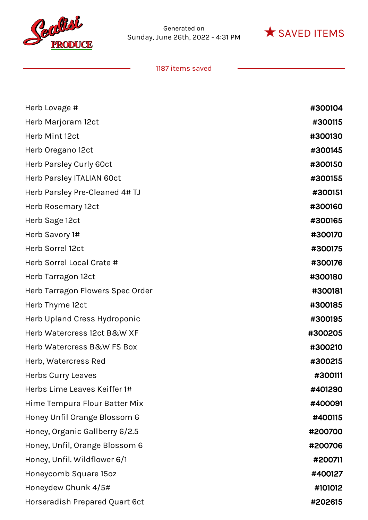



| Herb Lovage #                    | #300104 |
|----------------------------------|---------|
| Herb Marjoram 12ct               | #300115 |
| Herb Mint 12ct                   | #300130 |
| Herb Oregano 12ct                | #300145 |
| Herb Parsley Curly 60ct          | #300150 |
| Herb Parsley ITALIAN 60ct        | #300155 |
| Herb Parsley Pre-Cleaned 4# TJ   | #300151 |
| Herb Rosemary 12ct               | #300160 |
| Herb Sage 12ct                   | #300165 |
| Herb Savory 1#                   | #300170 |
| Herb Sorrel 12ct                 | #300175 |
| Herb Sorrel Local Crate #        | #300176 |
| Herb Tarragon 12ct               | #300180 |
| Herb Tarragon Flowers Spec Order | #300181 |
| Herb Thyme 12ct                  | #300185 |
| Herb Upland Cress Hydroponic     | #300195 |
| Herb Watercress 12ct B&W XF      | #300205 |
| Herb Watercress B&W FS Box       | #300210 |
| Herb, Watercress Red             | #300215 |
| <b>Herbs Curry Leaves</b>        | #300111 |
| Herbs Lime Leaves Keiffer 1#     | #401290 |
| Hime Tempura Flour Batter Mix    | #400091 |
| Honey Unfil Orange Blossom 6     | #400115 |
| Honey, Organic Gallberry 6/2.5   | #200700 |
| Honey, Unfil, Orange Blossom 6   | #200706 |
| Honey, Unfil. Wildflower 6/1     | #200711 |
| Honeycomb Square 15oz            | #400127 |
| Honeydew Chunk 4/5#              | #101012 |
| Horseradish Prepared Quart 6ct   | #202615 |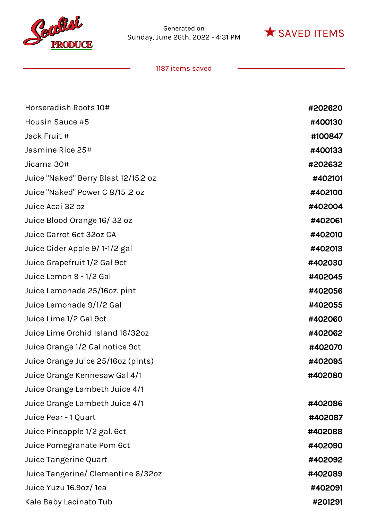



| Horseradish Roots 10#                | #202620 |
|--------------------------------------|---------|
| Housin Sauce #5                      | #400130 |
| Jack Fruit #                         | #100847 |
| Jasmine Rice 25#                     | #400133 |
| Jicama 30#                           | #202632 |
| Juice "Naked" Berry Blast 12/15.2 oz | #402101 |
| Juice "Naked" Power C 8/15.2 oz      | #402100 |
| Juice Acai 32 oz                     | #402004 |
| Juice Blood Orange 16/32 oz          | #402061 |
| Juice Carrot 6ct 32oz CA             | #402010 |
| Juice Cider Apple 9/1-1/2 gal        | #402013 |
| Juice Grapefruit 1/2 Gal 9ct         | #402030 |
| Juice Lemon 9 - 1/2 Gal              | #402045 |
| Juice Lemonade 25/16oz. pint         | #402056 |
| Juice Lemonade 9/1/2 Gal             | #402055 |
| Juice Lime 1/2 Gal 9ct               | #402060 |
| Juice Lime Orchid Island 16/32oz     | #402062 |
| Juice Orange 1/2 Gal notice 9ct      | #402070 |
| Juice Orange Juice 25/16oz (pints)   | #402095 |
| Juice Orange Kennesaw Gal 4/1        | #402080 |
| Juice Orange Lambeth Juice 4/1       |         |
| Juice Orange Lambeth Juice 4/1       | #402086 |
| Juice Pear - 1 Quart                 | #402087 |
| Juice Pineapple 1/2 gal. 6ct         | #402088 |
| Juice Pomegranate Pom 6ct            | #402090 |
| Juice Tangerine Quart                | #402092 |
| Juice Tangerine/ Clementine 6/32oz   | #402089 |
| Juice Yuzu 16.9oz/ 1ea               | #402091 |
| Kale Baby Lacinato Tub               | #201291 |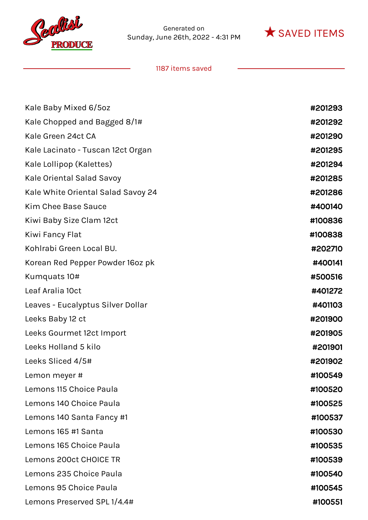



| Kale Baby Mixed 6/5oz              | #201293 |
|------------------------------------|---------|
| Kale Chopped and Bagged 8/1#       | #201292 |
| Kale Green 24ct CA                 | #201290 |
| Kale Lacinato - Tuscan 12ct Organ  | #201295 |
| Kale Lollipop (Kalettes)           | #201294 |
| Kale Oriental Salad Savoy          | #201285 |
| Kale White Oriental Salad Savoy 24 | #201286 |
| Kim Chee Base Sauce                | #400140 |
| Kiwi Baby Size Clam 12ct           | #100836 |
| Kiwi Fancy Flat                    | #100838 |
| Kohlrabi Green Local BU.           | #202710 |
| Korean Red Pepper Powder 160z pk   | #400141 |
| Kumquats 10#                       | #500516 |
| Leaf Aralia 10ct                   | #401272 |
| Leaves - Eucalyptus Silver Dollar  | #401103 |
| Leeks Baby 12 ct                   | #201900 |
| Leeks Gourmet 12ct Import          | #201905 |
| Leeks Holland 5 kilo               | #201901 |
| Leeks Sliced 4/5#                  | #201902 |
| Lemon meyer #                      | #100549 |
| Lemons 115 Choice Paula            | #100520 |
| Lemons 140 Choice Paula            | #100525 |
| Lemons 140 Santa Fancy #1          | #100537 |
| Lemons 165 #1 Santa                | #100530 |
| Lemons 165 Choice Paula            | #100535 |
| Lemons 200ct CHOICE TR             | #100539 |
| Lemons 235 Choice Paula            | #100540 |
| Lemons 95 Choice Paula             | #100545 |
| Lemons Preserved SPL 1/4.4#        | #100551 |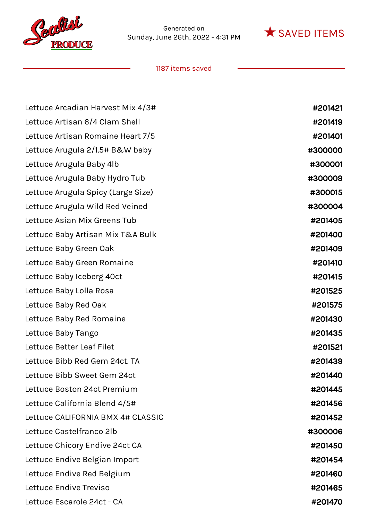



| Lettuce Arcadian Harvest Mix 4/3#  | #201421 |
|------------------------------------|---------|
| Lettuce Artisan 6/4 Clam Shell     | #201419 |
| Lettuce Artisan Romaine Heart 7/5  | #201401 |
| Lettuce Arugula 2/1.5# B&W baby    | #300000 |
| Lettuce Arugula Baby 4lb           | #300001 |
| Lettuce Arugula Baby Hydro Tub     | #300009 |
| Lettuce Arugula Spicy (Large Size) | #300015 |
| Lettuce Arugula Wild Red Veined    | #300004 |
| Lettuce Asian Mix Greens Tub       | #201405 |
| Lettuce Baby Artisan Mix T&A Bulk  | #201400 |
| Lettuce Baby Green Oak             | #201409 |
| Lettuce Baby Green Romaine         | #201410 |
| Lettuce Baby Iceberg 40ct          | #201415 |
| Lettuce Baby Lolla Rosa            | #201525 |
| Lettuce Baby Red Oak               | #201575 |
| Lettuce Baby Red Romaine           | #201430 |
| Lettuce Baby Tango                 | #201435 |
| Lettuce Better Leaf Filet          | #201521 |
| Lettuce Bibb Red Gem 24ct. TA      | #201439 |
| Lettuce Bibb Sweet Gem 24ct        | #201440 |
| Lettuce Boston 24ct Premium        | #201445 |
| Lettuce California Blend 4/5#      | #201456 |
| Lettuce CALIFORNIA BMX 4# CLASSIC  | #201452 |
| Lettuce Castelfranco 2lb           | #300006 |
| Lettuce Chicory Endive 24ct CA     | #201450 |
| Lettuce Endive Belgian Import      | #201454 |
| Lettuce Endive Red Belgium         | #201460 |
| Lettuce Endive Treviso             | #201465 |
| Lettuce Escarole 24ct - CA         | #201470 |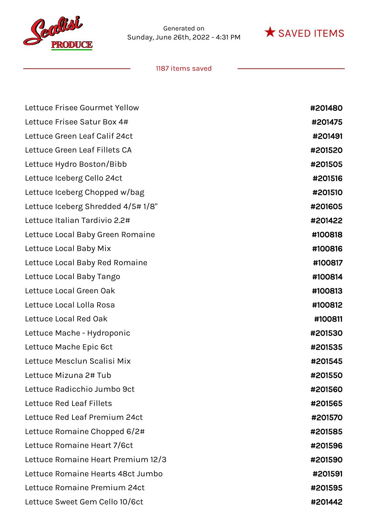



| Lettuce Frisee Gourmet Yellow      | #201480 |
|------------------------------------|---------|
| Lettuce Frisee Satur Box 4#        | #201475 |
| Lettuce Green Leaf Calif 24ct      | #201491 |
| Lettuce Green Leaf Fillets CA      | #201520 |
| Lettuce Hydro Boston/Bibb          | #201505 |
| Lettuce Iceberg Cello 24ct         | #201516 |
| Lettuce Iceberg Chopped w/bag      | #201510 |
| Lettuce Iceberg Shredded 4/5#1/8"  | #201605 |
| Lettuce Italian Tardivio 2.2#      | #201422 |
| Lettuce Local Baby Green Romaine   | #100818 |
| Lettuce Local Baby Mix             | #100816 |
| Lettuce Local Baby Red Romaine     | #100817 |
| Lettuce Local Baby Tango           | #100814 |
| Lettuce Local Green Oak            | #100813 |
| Lettuce Local Lolla Rosa           | #100812 |
| Lettuce Local Red Oak              | #100811 |
| Lettuce Mache - Hydroponic         | #201530 |
| Lettuce Mache Epic 6ct             | #201535 |
| Lettuce Mesclun Scalisi Mix        | #201545 |
| Lettuce Mizuna 2# Tub              | #201550 |
| Lettuce Radicchio Jumbo 9ct        | #201560 |
| Lettuce Red Leaf Fillets           | #201565 |
| Lettuce Red Leaf Premium 24ct      | #201570 |
| Lettuce Romaine Chopped 6/2#       | #201585 |
| Lettuce Romaine Heart 7/6ct        | #201596 |
| Lettuce Romaine Heart Premium 12/3 | #201590 |
| Lettuce Romaine Hearts 48ct Jumbo  | #201591 |
| Lettuce Romaine Premium 24ct       | #201595 |
| Lettuce Sweet Gem Cello 10/6ct     | #201442 |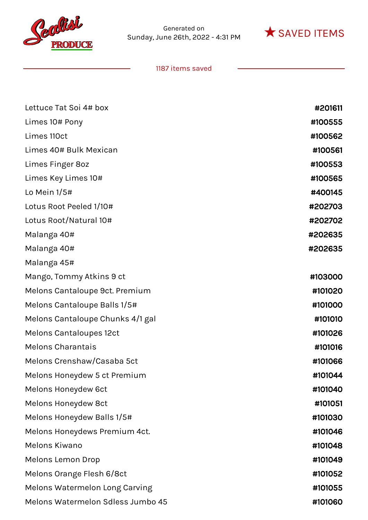



| Lettuce Tat Soi 4# box            | #201611 |
|-----------------------------------|---------|
| Limes 10# Pony                    | #100555 |
| Limes 110ct                       | #100562 |
| Limes 40# Bulk Mexican            | #100561 |
| Limes Finger 8oz                  | #100553 |
| Limes Key Limes 10#               | #100565 |
| Lo Mein $1/5#$                    | #400145 |
| Lotus Root Peeled 1/10#           | #202703 |
| Lotus Root/Natural 10#            | #202702 |
| Malanga 40#                       | #202635 |
| Malanga 40#                       | #202635 |
| Malanga 45#                       |         |
| Mango, Tommy Atkins 9 ct          | #103000 |
| Melons Cantaloupe 9ct. Premium    | #101020 |
| Melons Cantaloupe Balls 1/5#      | #101000 |
| Melons Cantaloupe Chunks 4/1 gal  | #101010 |
| <b>Melons Cantaloupes 12ct</b>    | #101026 |
| <b>Melons Charantais</b>          | #101016 |
| Melons Crenshaw/Casaba 5ct        | #101066 |
| Melons Honeydew 5 ct Premium      | #101044 |
| Melons Honeydew 6ct               | #101040 |
| Melons Honeydew 8ct               | #101051 |
| Melons Honeydew Balls 1/5#        | #101030 |
| Melons Honeydews Premium 4ct.     | #101046 |
| Melons Kiwano                     | #101048 |
| <b>Melons Lemon Drop</b>          | #101049 |
| Melons Orange Flesh 6/8ct         | #101052 |
| Melons Watermelon Long Carving    | #101055 |
| Melons Watermelon Sdless Jumbo 45 | #101060 |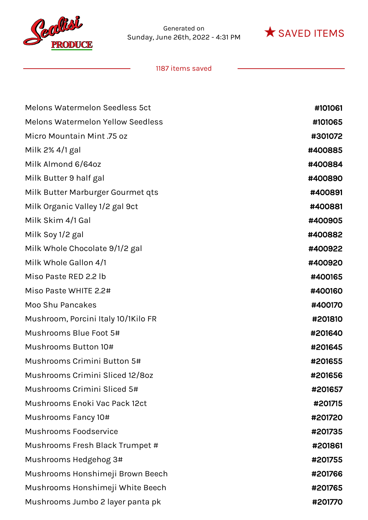



| <b>Melons Watermelon Seedless 5ct</b>    | #101061 |
|------------------------------------------|---------|
| <b>Melons Watermelon Yellow Seedless</b> | #101065 |
| Micro Mountain Mint .75 oz               | #301072 |
| Milk 2% 4/1 gal                          | #400885 |
| Milk Almond 6/64oz                       | #400884 |
| Milk Butter 9 half gal                   | #400890 |
| Milk Butter Marburger Gourmet qts        | #400891 |
| Milk Organic Valley 1/2 gal 9ct          | #400881 |
| Milk Skim 4/1 Gal                        | #400905 |
| Milk Soy 1/2 gal                         | #400882 |
| Milk Whole Chocolate 9/1/2 gal           | #400922 |
| Milk Whole Gallon 4/1                    | #400920 |
| Miso Paste RED 2.2 lb                    | #400165 |
| Miso Paste WHITE 2.2#                    | #400160 |
| <b>Moo Shu Pancakes</b>                  | #400170 |
| Mushroom, Porcini Italy 10/1Kilo FR      | #201810 |
| Mushrooms Blue Foot 5#                   | #201640 |
| Mushrooms Button 10#                     | #201645 |
| Mushrooms Crimini Button 5#              | #201655 |
| Mushrooms Crimini Sliced 12/80z          | #201656 |
| Mushrooms Crimini Sliced 5#              | #201657 |
| Mushrooms Enoki Vac Pack 12ct            | #201715 |
| Mushrooms Fancy 10#                      | #201720 |
| <b>Mushrooms Foodservice</b>             | #201735 |
| Mushrooms Fresh Black Trumpet #          | #201861 |
| Mushrooms Hedgehog 3#                    | #201755 |
| Mushrooms Honshimeji Brown Beech         | #201766 |
| Mushrooms Honshimeji White Beech         | #201765 |
| Mushrooms Jumbo 2 layer panta pk         | #201770 |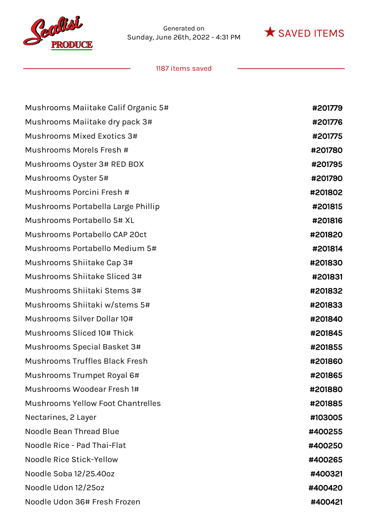



| Mushrooms Maiitake Calif Organic 5#      | #201779 |
|------------------------------------------|---------|
| Mushrooms Maiitake dry pack 3#           | #201776 |
| Mushrooms Mixed Exotics 3#               | #201775 |
| Mushrooms Morels Fresh #                 | #201780 |
| Mushrooms Oyster 3# RED BOX              | #201795 |
| Mushrooms Oyster 5#                      | #201790 |
| Mushrooms Porcini Fresh #                | #201802 |
| Mushrooms Portabella Large Phillip       | #201815 |
| Mushrooms Portabello 5# XL               | #201816 |
| Mushrooms Portabello CAP 20ct            | #201820 |
| Mushrooms Portabello Medium 5#           | #201814 |
| Mushrooms Shiitake Cap 3#                | #201830 |
| Mushrooms Shiitake Sliced 3#             | #201831 |
| Mushrooms Shiitaki Stems 3#              | #201832 |
| Mushrooms Shiitaki w/stems 5#            | #201833 |
| Mushrooms Silver Dollar 10#              | #201840 |
| Mushrooms Sliced 10# Thick               | #201845 |
| Mushrooms Special Basket 3#              | #201855 |
| <b>Mushrooms Truffles Black Fresh</b>    | #201860 |
| Mushrooms Trumpet Royal 6#               | #201865 |
| Mushrooms Woodear Fresh 1#               | #201880 |
| <b>Mushrooms Yellow Foot Chantrelles</b> | #201885 |
| Nectarines, 2 Layer                      | #103005 |
| <b>Noodle Bean Thread Blue</b>           | #400255 |
| Noodle Rice - Pad Thai-Flat              | #400250 |
| Noodle Rice Stick-Yellow                 | #400265 |
| Noodle Soba 12/25.40oz                   | #400321 |
| Noodle Udon 12/25oz                      | #400420 |
| Noodle Udon 36# Fresh Frozen             | #400421 |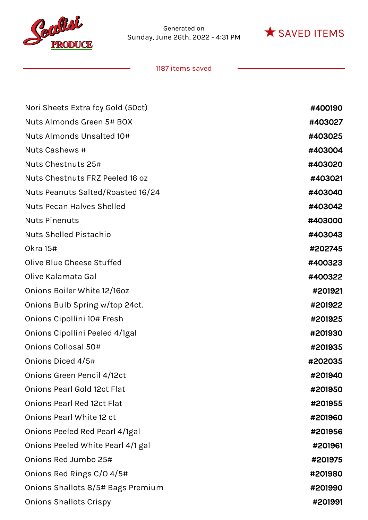



| Nori Sheets Extra fcy Gold (50ct)  | #400190 |
|------------------------------------|---------|
| Nuts Almonds Green 5# BOX          | #403027 |
| Nuts Almonds Unsalted 10#          | #403025 |
| Nuts Cashews #                     | #403004 |
| Nuts Chestnuts 25#                 | #403020 |
| Nuts Chestnuts FRZ Peeled 16 oz    | #403021 |
| Nuts Peanuts Salted/Roasted 16/24  | #403040 |
| <b>Nuts Pecan Halves Shelled</b>   | #403042 |
| <b>Nuts Pinenuts</b>               | #403000 |
| <b>Nuts Shelled Pistachio</b>      | #403043 |
| <b>Okra 15#</b>                    | #202745 |
| Olive Blue Cheese Stuffed          | #400323 |
| Olive Kalamata Gal                 | #400322 |
| Onions Boiler White 12/16oz        | #201921 |
| Onions Bulb Spring w/top 24ct.     | #201922 |
| Onions Cipollini 10# Fresh         | #201925 |
| Onions Cipollini Peeled 4/1gal     | #201930 |
| Onions Collosal 50#                | #201935 |
| Onions Diced 4/5#                  | #202035 |
| Onions Green Pencil 4/12ct         | #201940 |
| <b>Onions Pearl Gold 12ct Flat</b> | #201950 |
| <b>Onions Pearl Red 12ct Flat</b>  | #201955 |
| Onions Pearl White 12 ct           | #201960 |
| Onions Peeled Red Pearl 4/1gal     | #201956 |
| Onions Peeled White Pearl 4/1 gal  | #201961 |
| Onions Red Jumbo 25#               | #201975 |
| Onions Red Rings C/O 4/5#          | #201980 |
| Onions Shallots 8/5# Bags Premium  | #201990 |
| <b>Onions Shallots Crispy</b>      | #201991 |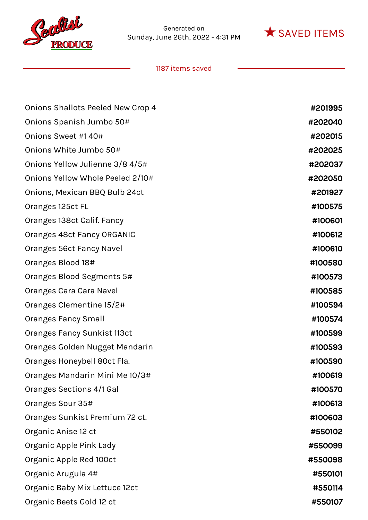



| Onions Shallots Peeled New Crop 4 | #201995 |
|-----------------------------------|---------|
| Onions Spanish Jumbo 50#          | #202040 |
| Onions Sweet #140#                | #202015 |
| Onions White Jumbo 50#            | #202025 |
| Onions Yellow Julienne 3/8 4/5#   | #202037 |
| Onions Yellow Whole Peeled 2/10#  | #202050 |
| Onions, Mexican BBQ Bulb 24ct     | #201927 |
| Oranges 125ct FL                  | #100575 |
| Oranges 138ct Calif. Fancy        | #100601 |
| Oranges 48ct Fancy ORGANIC        | #100612 |
| Oranges 56ct Fancy Navel          | #100610 |
| Oranges Blood 18#                 | #100580 |
| Oranges Blood Segments 5#         | #100573 |
| Oranges Cara Cara Navel           | #100585 |
| Oranges Clementine 15/2#          | #100594 |
| <b>Oranges Fancy Small</b>        | #100574 |
| Oranges Fancy Sunkist 113ct       | #100599 |
| Oranges Golden Nugget Mandarin    | #100593 |
| Oranges Honeybell 80ct Fla.       | #100590 |
| Oranges Mandarin Mini Me 10/3#    | #100619 |
| Oranges Sections 4/1 Gal          | #100570 |
| Oranges Sour 35#                  | #100613 |
| Oranges Sunkist Premium 72 ct.    | #100603 |
| Organic Anise 12 ct               | #550102 |
| Organic Apple Pink Lady           | #550099 |
| Organic Apple Red 100ct           | #550098 |
| Organic Arugula 4#                | #550101 |
| Organic Baby Mix Lettuce 12ct     | #550114 |
| Organic Beets Gold 12 ct          | #550107 |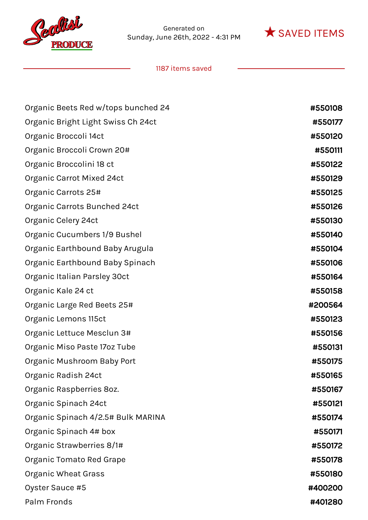



| Organic Beets Red w/tops bunched 24 | #550108 |
|-------------------------------------|---------|
| Organic Bright Light Swiss Ch 24ct  | #550177 |
| Organic Broccoli 14ct               | #550120 |
| Organic Broccoli Crown 20#          | #550111 |
| Organic Broccolini 18 ct            | #550122 |
| Organic Carrot Mixed 24ct           | #550129 |
| Organic Carrots 25#                 | #550125 |
| Organic Carrots Bunched 24ct        | #550126 |
| Organic Celery 24ct                 | #550130 |
| Organic Cucumbers 1/9 Bushel        | #550140 |
| Organic Earthbound Baby Arugula     | #550104 |
| Organic Earthbound Baby Spinach     | #550106 |
| Organic Italian Parsley 30ct        | #550164 |
| Organic Kale 24 ct                  | #550158 |
| Organic Large Red Beets 25#         | #200564 |
| Organic Lemons 115ct                | #550123 |
| Organic Lettuce Mesclun 3#          | #550156 |
| Organic Miso Paste 17oz Tube        | #550131 |
| Organic Mushroom Baby Port          | #550175 |
| Organic Radish 24ct                 | #550165 |
| Organic Raspberries 8oz.            | #550167 |
| Organic Spinach 24ct                | #550121 |
| Organic Spinach 4/2.5# Bulk MARINA  | #550174 |
| Organic Spinach 4# box              | #550171 |
| Organic Strawberries 8/1#           | #550172 |
| Organic Tomato Red Grape            | #550178 |
| Organic Wheat Grass                 | #550180 |
| Oyster Sauce #5                     | #400200 |
| Palm Fronds                         | #401280 |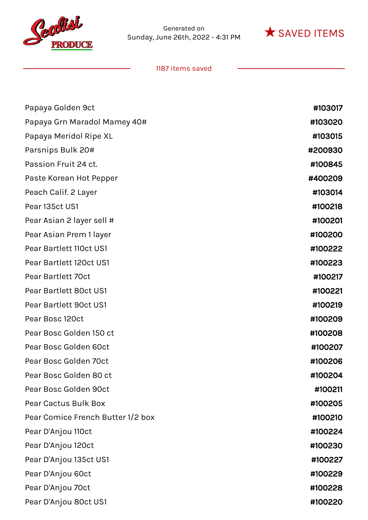



| Papaya Golden 9ct                 | #103017 |
|-----------------------------------|---------|
| Papaya Grn Maradol Mamey 40#      | #103020 |
| Papaya Meridol Ripe XL            | #103015 |
| Parsnips Bulk 20#                 | #200930 |
| Passion Fruit 24 ct.              | #100845 |
| Paste Korean Hot Pepper           | #400209 |
| Peach Calif. 2 Layer              | #103014 |
| Pear 135ct US1                    | #100218 |
| Pear Asian 2 layer sell #         | #100201 |
| Pear Asian Prem 1 layer           | #100200 |
| Pear Bartlett 110ct US1           | #100222 |
| Pear Bartlett 120ct US1           | #100223 |
| Pear Bartlett 70ct                | #100217 |
| Pear Bartlett 80ct US1            | #100221 |
| Pear Bartlett 90ct US1            | #100219 |
| Pear Bosc 120ct                   | #100209 |
| Pear Bosc Golden 150 ct           | #100208 |
| Pear Bosc Golden 60ct             | #100207 |
| Pear Bosc Golden 70ct             | #100206 |
| Pear Bosc Golden 80 ct            | #100204 |
| Pear Bosc Golden 90ct             | #100211 |
| Pear Cactus Bulk Box              | #100205 |
| Pear Comice French Butter 1/2 box | #100210 |
| Pear D'Anjou 110ct                | #100224 |
| Pear D'Anjou 120ct                | #100230 |
| Pear D'Anjou 135ct US1            | #100227 |
| Pear D'Anjou 60ct                 | #100229 |
| Pear D'Anjou 70ct                 | #100228 |
| Pear D'Anjou 80ct US1             | #100220 |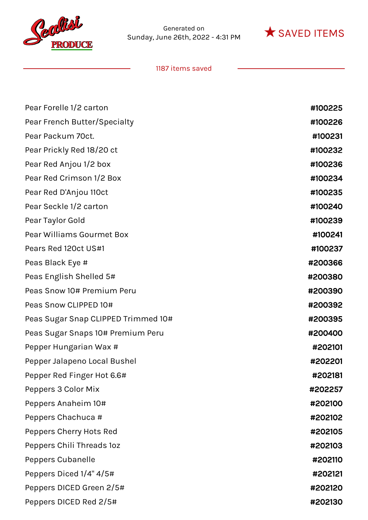



| Pear Forelle 1/2 carton             | #100225 |
|-------------------------------------|---------|
| Pear French Butter/Specialty        | #100226 |
| Pear Packum 70ct.                   | #100231 |
| Pear Prickly Red 18/20 ct           | #100232 |
| Pear Red Anjou 1/2 box              | #100236 |
| Pear Red Crimson 1/2 Box            | #100234 |
| Pear Red D'Anjou 110ct              | #100235 |
| Pear Seckle 1/2 carton              | #100240 |
| Pear Taylor Gold                    | #100239 |
| Pear Williams Gourmet Box           | #100241 |
| Pears Red 120ct US#1                | #100237 |
| Peas Black Eye #                    | #200366 |
| Peas English Shelled 5#             | #200380 |
| Peas Snow 10# Premium Peru          | #200390 |
| Peas Snow CLIPPED 10#               | #200392 |
| Peas Sugar Snap CLIPPED Trimmed 10# | #200395 |
| Peas Sugar Snaps 10# Premium Peru   | #200400 |
| Pepper Hungarian Wax #              | #202101 |
| Pepper Jalapeno Local Bushel        | #202201 |
| Pepper Red Finger Hot 6.6#          | #202181 |
| Peppers 3 Color Mix                 | #202257 |
| Peppers Anaheim 10#                 | #202100 |
| Peppers Chachuca #                  | #202102 |
| Peppers Cherry Hots Red             | #202105 |
| Peppers Chili Threads 10z           | #202103 |
| Peppers Cubanelle                   | #202110 |
| Peppers Diced 1/4" 4/5#             | #202121 |
| Peppers DICED Green 2/5#            | #202120 |
| Peppers DICED Red 2/5#              | #202130 |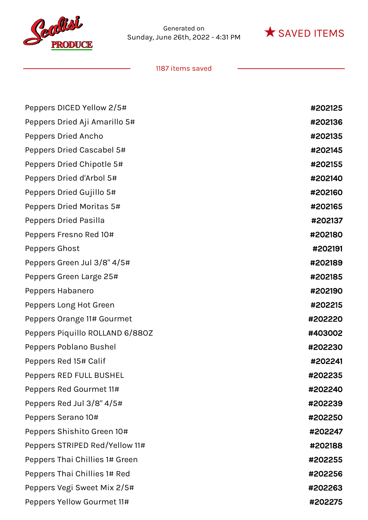



| Peppers DICED Yellow 2/5#       | #202125 |
|---------------------------------|---------|
| Peppers Dried Aji Amarillo 5#   | #202136 |
| Peppers Dried Ancho             | #202135 |
| Peppers Dried Cascabel 5#       | #202145 |
| Peppers Dried Chipotle 5#       | #202155 |
| Peppers Dried d'Arbol 5#        | #202140 |
| Peppers Dried Gujillo 5#        | #202160 |
| Peppers Dried Moritas 5#        | #202165 |
| Peppers Dried Pasilla           | #202137 |
| Peppers Fresno Red 10#          | #202180 |
| Peppers Ghost                   | #202191 |
| Peppers Green Jul 3/8" 4/5#     | #202189 |
| Peppers Green Large 25#         | #202185 |
| Peppers Habanero                | #202190 |
| Peppers Long Hot Green          | #202215 |
| Peppers Orange 11# Gourmet      | #202220 |
| Peppers Piquillo ROLLAND 6/880Z | #403002 |
| Peppers Poblano Bushel          | #202230 |
| Peppers Red 15# Calif           | #202241 |
| Peppers RED FULL BUSHEL         | #202235 |
| Peppers Red Gourmet 11#         | #202240 |
| Peppers Red Jul 3/8" 4/5#       | #202239 |
| Peppers Serano 10#              | #202250 |
| Peppers Shishito Green 10#      | #202247 |
| Peppers STRIPED Red/Yellow 11#  | #202188 |
| Peppers Thai Chillies 1# Green  | #202255 |
| Peppers Thai Chillies 1# Red    | #202256 |
| Peppers Vegi Sweet Mix 2/5#     | #202263 |
| Peppers Yellow Gourmet 11#      | #202275 |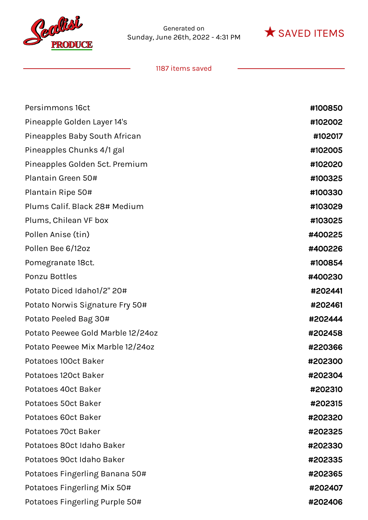



| Persimmons 16ct                   | #100850 |
|-----------------------------------|---------|
| Pineapple Golden Layer 14's       | #102002 |
| Pineapples Baby South African     | #102017 |
| Pineapples Chunks 4/1 gal         | #102005 |
| Pineapples Golden 5ct. Premium    | #102020 |
| Plantain Green 50#                | #100325 |
| Plantain Ripe 50#                 | #100330 |
| Plums Calif. Black 28# Medium     | #103029 |
| Plums, Chilean VF box             | #103025 |
| Pollen Anise (tin)                | #400225 |
| Pollen Bee 6/12oz                 | #400226 |
| Pomegranate 18ct.                 | #100854 |
| Ponzu Bottles                     | #400230 |
| Potato Diced Idaho1/2" 20#        | #202441 |
| Potato Norwis Signature Fry 50#   | #202461 |
| Potato Peeled Bag 30#             | #202444 |
| Potato Peewee Gold Marble 12/24oz | #202458 |
| Potato Peewee Mix Marble 12/24oz  | #220366 |
| Potatoes 100ct Baker              | #202300 |
| Potatoes 120ct Baker              | #202304 |
| Potatoes 40ct Baker               | #202310 |
| Potatoes 50ct Baker               | #202315 |
| Potatoes 60ct Baker               | #202320 |
| Potatoes 70ct Baker               | #202325 |
| Potatoes 80ct Idaho Baker         | #202330 |
| Potatoes 90ct Idaho Baker         | #202335 |
| Potatoes Fingerling Banana 50#    | #202365 |
| Potatoes Fingerling Mix 50#       | #202407 |
| Potatoes Fingerling Purple 50#    | #202406 |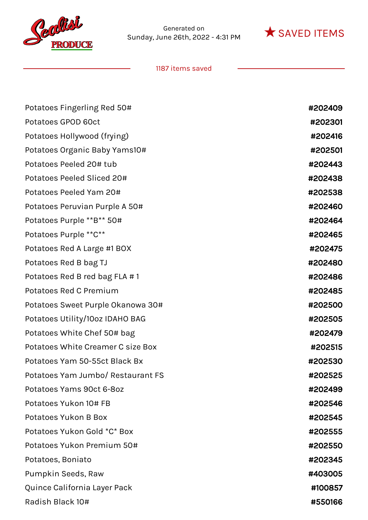



| Potatoes Fingerling Red 50#       | #202409 |
|-----------------------------------|---------|
| Potatoes GPOD 60ct                | #202301 |
| Potatoes Hollywood (frying)       | #202416 |
| Potatoes Organic Baby Yams10#     | #202501 |
| Potatoes Peeled 20# tub           | #202443 |
| Potatoes Peeled Sliced 20#        | #202438 |
| Potatoes Peeled Yam 20#           | #202538 |
| Potatoes Peruvian Purple A 50#    | #202460 |
| Potatoes Purple **B** 50#         | #202464 |
| Potatoes Purple ** C**            | #202465 |
| Potatoes Red A Large #1 BOX       | #202475 |
| Potatoes Red B bag TJ             | #202480 |
| Potatoes Red B red bag FLA #1     | #202486 |
| Potatoes Red C Premium            | #202485 |
| Potatoes Sweet Purple Okanowa 30# | #202500 |
| Potatoes Utility/10oz IDAHO BAG   | #202505 |
| Potatoes White Chef 50# bag       | #202479 |
| Potatoes White Creamer C size Box | #202515 |
| Potatoes Yam 50-55ct Black Bx     | #202530 |
| Potatoes Yam Jumbo/ Restaurant FS | #202525 |
| Potatoes Yams 90ct 6-8oz          | #202499 |
| Potatoes Yukon 10# FB             | #202546 |
| Potatoes Yukon B Box              | #202545 |
| Potatoes Yukon Gold *C* Box       | #202555 |
| Potatoes Yukon Premium 50#        | #202550 |
| Potatoes, Boniato                 | #202345 |
| Pumpkin Seeds, Raw                | #403005 |
| Quince California Layer Pack      | #100857 |
| Radish Black 10#                  | #550166 |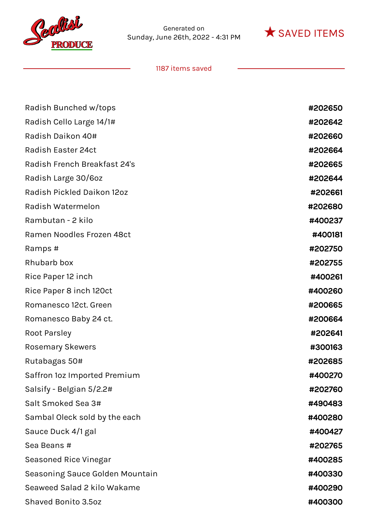



| Radish Bunched w/tops<br>Radish Cello Large 14/1#<br>Radish Daikon 40# | #202650<br>#202642<br>#202660<br>#202664 |
|------------------------------------------------------------------------|------------------------------------------|
|                                                                        |                                          |
|                                                                        |                                          |
|                                                                        |                                          |
| <b>Radish Easter 24ct</b>                                              |                                          |
| Radish French Breakfast 24's                                           | #202665                                  |
| Radish Large 30/6oz                                                    | #202644                                  |
| Radish Pickled Daikon 12oz                                             | #202661                                  |
| Radish Watermelon                                                      | #202680                                  |
| Rambutan - 2 kilo                                                      | #400237                                  |
| Ramen Noodles Frozen 48ct                                              | #400181                                  |
| Ramps #                                                                | #202750                                  |
| Rhubarb box                                                            | #202755                                  |
| Rice Paper 12 inch                                                     | #400261                                  |
| Rice Paper 8 inch 120ct                                                | #400260                                  |
| Romanesco 12ct. Green                                                  | #200665                                  |
| Romanesco Baby 24 ct.                                                  | #200664                                  |
| Root Parsley                                                           | #202641                                  |
| <b>Rosemary Skewers</b>                                                | #300163                                  |
| Rutabagas 50#                                                          | #202685                                  |
| Saffron loz Imported Premium                                           | #400270                                  |
| Salsify - Belgian 5/2.2#                                               | #202760                                  |
| Salt Smoked Sea 3#                                                     | #490483                                  |
| Sambal Oleck sold by the each                                          | #400280                                  |
| Sauce Duck 4/1 gal                                                     | #400427                                  |
| Sea Beans #                                                            | #202765                                  |
| Seasoned Rice Vinegar                                                  | #400285                                  |
| Seasoning Sauce Golden Mountain                                        | #400330                                  |
| Seaweed Salad 2 kilo Wakame                                            | #400290                                  |
| Shaved Bonito 3.5oz                                                    | #400300                                  |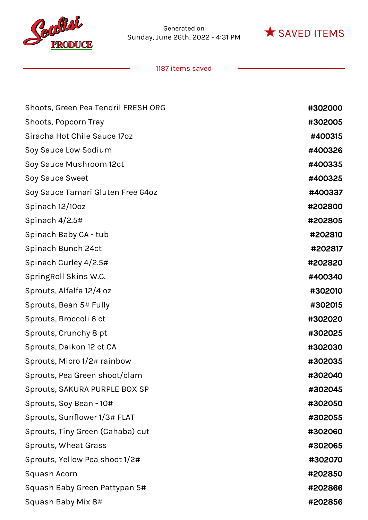



| Shoots, Green Pea Tendril FRESH ORG | #302000 |
|-------------------------------------|---------|
| Shoots, Popcorn Tray                | #302005 |
| Siracha Hot Chile Sauce 170z        | #400315 |
| Soy Sauce Low Sodium                | #400326 |
| Soy Sauce Mushroom 12ct             | #400335 |
| Soy Sauce Sweet                     | #400325 |
| Soy Sauce Tamari Gluten Free 64oz   | #400337 |
| Spinach 12/10oz                     | #202800 |
| Spinach 4/2.5#                      | #202805 |
| Spinach Baby CA - tub               | #202810 |
| Spinach Bunch 24ct                  | #202817 |
| Spinach Curley 4/2.5#               | #202820 |
| SpringRoll Skins W.C.               | #400340 |
| Sprouts, Alfalfa 12/4 oz            | #302010 |
| Sprouts, Bean 5# Fully              | #302015 |
| Sprouts, Broccoli 6 ct              | #302020 |
| Sprouts, Crunchy 8 pt               | #302025 |
| Sprouts, Daikon 12 ct CA            | #302030 |
| Sprouts, Micro 1/2# rainbow         | #302035 |
| Sprouts, Pea Green shoot/clam       | #302040 |
| Sprouts, SAKURA PURPLE BOX SP       | #302045 |
| Sprouts, Soy Bean - 10#             | #302050 |
| Sprouts, Sunflower 1/3# FLAT        | #302055 |
| Sprouts, Tiny Green (Cahaba) cut    | #302060 |
| Sprouts, Wheat Grass                | #302065 |
| Sprouts, Yellow Pea shoot 1/2#      | #302070 |
| Squash Acorn                        | #202850 |
| Squash Baby Green Pattypan 5#       | #202866 |
| Squash Baby Mix 8#                  | #202856 |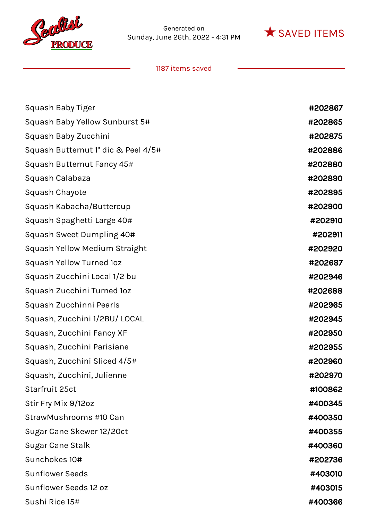



| Squash Baby Tiger                   | #202867 |
|-------------------------------------|---------|
| Squash Baby Yellow Sunburst 5#      | #202865 |
| Squash Baby Zucchini                | #202875 |
| Squash Butternut 1" dic & Peel 4/5# | #202886 |
| Squash Butternut Fancy 45#          | #202880 |
| Squash Calabaza                     | #202890 |
| Squash Chayote                      | #202895 |
| Squash Kabacha/Buttercup            | #202900 |
| Squash Spaghetti Large 40#          | #202910 |
| Squash Sweet Dumpling 40#           | #202911 |
| Squash Yellow Medium Straight       | #202920 |
| Squash Yellow Turned 1oz            | #202687 |
| Squash Zucchini Local 1/2 bu        | #202946 |
| Squash Zucchini Turned 1oz          | #202688 |
| Squash Zucchinni Pearls             | #202965 |
| Squash, Zucchini 1/2BU/ LOCAL       | #202945 |
| Squash, Zucchini Fancy XF           | #202950 |
| Squash, Zucchini Parisiane          | #202955 |
| Squash, Zucchini Sliced 4/5#        | #202960 |
| Squash, Zucchini, Julienne          | #202970 |
| Starfruit 25ct                      | #100862 |
| Stir Fry Mix 9/12oz                 | #400345 |
| StrawMushrooms #10 Can              | #400350 |
| Sugar Cane Skewer 12/20ct           | #400355 |
| Sugar Cane Stalk                    | #400360 |
| Sunchokes 10#                       | #202736 |
| <b>Sunflower Seeds</b>              | #403010 |
| Sunflower Seeds 12 oz               | #403015 |
| Sushi Rice 15#                      | #400366 |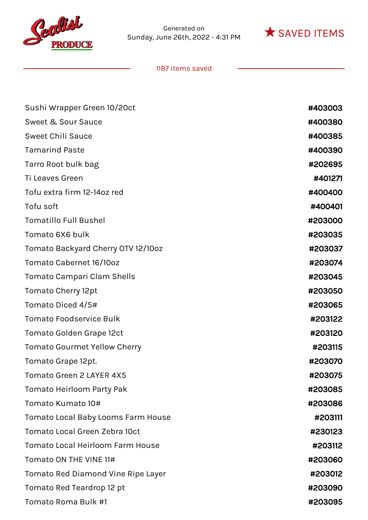



| Sushi Wrapper Green 10/20ct               | #403003 |
|-------------------------------------------|---------|
| Sweet & Sour Sauce                        | #400380 |
| <b>Sweet Chili Sauce</b>                  | #400385 |
| <b>Tamarind Paste</b>                     | #400390 |
| Tarro Root bulk bag                       | #202695 |
| Ti Leaves Green                           | #401271 |
| Tofu extra firm 12-14oz red               | #400400 |
| Tofu soft                                 | #400401 |
| <b>Tomatillo Full Bushel</b>              | #203000 |
| Tomato 6X6 bulk                           | #203035 |
| Tomato Backyard Cherry OTV 12/10oz        | #203037 |
| Tomato Cabernet 16/10oz                   | #203074 |
| Tomato Campari Clam Shells                | #203045 |
| Tomato Cherry 12pt                        | #203050 |
| Tomato Diced 4/5#                         | #203065 |
| <b>Tomato Foodservice Bulk</b>            | #203122 |
| <b>Tomato Golden Grape 12ct</b>           | #203120 |
| <b>Tomato Gourmet Yellow Cherry</b>       | #203115 |
| Tomato Grape 12pt.                        | #203070 |
| <b>Tomato Green 2 LAYER 4X5</b>           | #203075 |
| Tomato Heirloom Party Pak                 | #203085 |
| Tomato Kumato 10#                         | #203086 |
| <b>Tomato Local Baby Looms Farm House</b> | #203111 |
| Tomato Local Green Zebra 10ct             | #230123 |
| <b>Tomato Local Heirloom Farm House</b>   | #203112 |
| Tomato ON THE VINE 11#                    | #203060 |
| Tomato Red Diamond Vine Ripe Layer        | #203012 |
| Tomato Red Teardrop 12 pt                 | #203090 |
| Tomato Roma Bulk #1                       | #203095 |